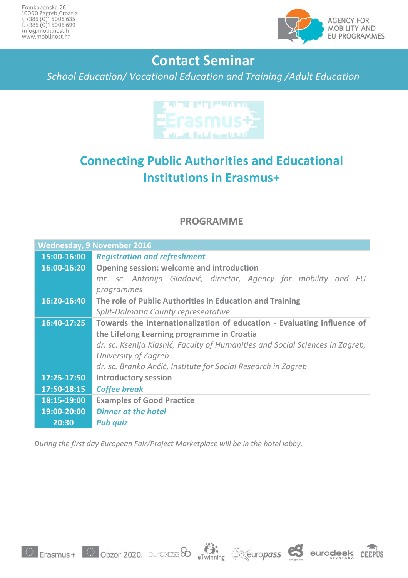

## **Contact Seminar**

*School Education/ Vocational Education and Training /Adult Education*



## **Connecting Public Authorities and Educational Institutions in Erasmus+**

## **PROGRAMME**

| <b>Wednesday, 9 November 2016</b> |                                                                               |
|-----------------------------------|-------------------------------------------------------------------------------|
| 15:00-16:00                       | <b>Registration and refreshment</b>                                           |
| 16:00-16:20                       | <b>Opening session: welcome and introduction</b>                              |
|                                   | mr. sc. Antonija Gladović, director, Agency for mobility and EU               |
|                                   | programmes                                                                    |
| 16:20-16:40                       | The role of Public Authorities in Education and Training                      |
|                                   | Split-Dalmatia County representative                                          |
| 16:40-17:25                       | Towards the internationalization of education - Evaluating influence of       |
|                                   | the Lifelong Learning programme in Croatia                                    |
|                                   | dr. sc. Ksenija Klasnić, Faculty of Humanities and Social Sciences in Zagreb, |
|                                   | University of Zagreb                                                          |
|                                   | dr. sc. Branko Ančić, Institute for Social Research in Zagreb                 |
| 17:25-17:50                       | <b>Introductory session</b>                                                   |
| 17:50-18:15                       | <b>Coffee break</b>                                                           |
| 18:15-19:00                       | <b>Examples of Good Practice</b>                                              |
| 19:00-20:00                       | <b>Dinner at the hotel</b>                                                    |
| 20:30                             | <b>Pub quiz</b>                                                               |

*During the first day European Fair/Project Marketplace will be in the hotel lobby.*